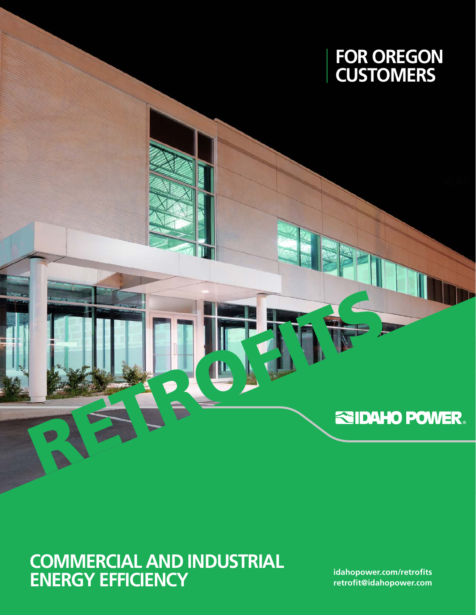

# RETROFITS

## **COMMERCIAL AND INDUSTRIAL ENERGY EFFICIENCY**

**[idahopower.com/r](http://www.idahopower.com/EnergyEfficiency/new_construction/default.cfm)etrofits retrofit[@idahopower.com](mailto:newconstruction%40idahopower.com?subject=)**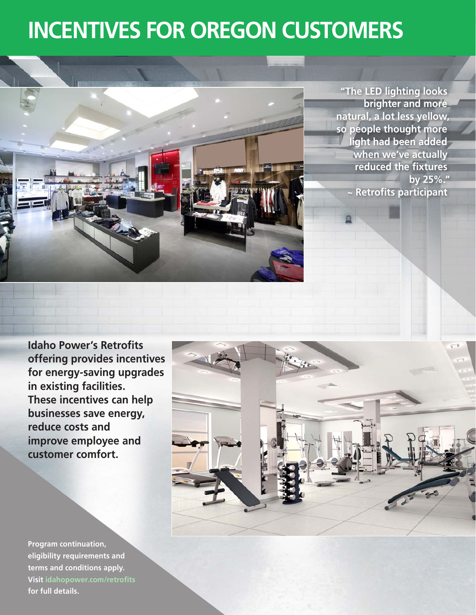# **INCENTIVES FOR OREGON CUSTOMERS**



**"The LED lighting looks brighter and more natural, a lot less yellow, so people thought more light had been added when we've actually reduced the fixtures by 25%." ~ Retrofits participant**

**Idaho Power's Retrofits offering provides incentives for energy-saving upgrades in existing facilities. These incentives can help businesses save energy, reduce costs and improve employee and customer comfort.**

**Program continuation, eligibility requirements and terms and conditions apply. Visit idahopower.com/retrofits for full details.**

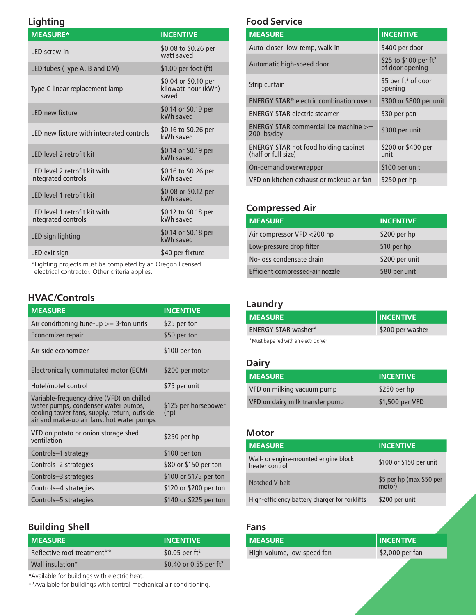### **Lighting**

| <b>MEASURE*</b>                                             | <b>INCENTIVE</b>                                     |
|-------------------------------------------------------------|------------------------------------------------------|
| <b>IFD</b> screw-in                                         | \$0.08 to \$0.26 per<br>watt saved                   |
| LED tubes (Type A, B and DM)                                | \$1.00 per foot $(ft)$                               |
| Type C linear replacement lamp                              | \$0.04 or \$0.10 per<br>kilowatt-hour (kWh)<br>saved |
| <b>IFD new fixture</b>                                      | \$0.14 or \$0.19 per<br>kWh saved                    |
| LED new fixture with integrated controls                    | \$0.16 to \$0.26 per<br>kWh saved                    |
| <b>IFD level 2 retrofit kit</b>                             | \$0.14 or \$0.19 per<br>kWh saved                    |
| <b>IFD</b> level 2 retrofit kit with<br>integrated controls | \$0.16 to \$0.26 per<br>kWh saved                    |
| <b>IFD level 1 retrofit kit</b>                             | \$0.08 or \$0.12 per<br>kWh saved                    |
| LED level 1 retrofit kit with<br>integrated controls        | \$0.12 to \$0.18 per<br>kWh saved                    |
| LED sign lighting                                           | \$0.14 or \$0.18 per<br>kWh saved                    |
| LED exit sign                                               | \$40 per fixture                                     |

\*Lighting projects must be completed by an Oregon licensed electrical contractor. Other criteria applies.

### **HVAC/Controls**

| <b>MEASURE</b>                                                                                                                                                               | <b>INCENTIVE</b>             |
|------------------------------------------------------------------------------------------------------------------------------------------------------------------------------|------------------------------|
| Air conditioning tune-up $>=$ 3-ton units                                                                                                                                    | \$25 per ton                 |
| Economizer repair                                                                                                                                                            | \$50 per ton                 |
| Air-side economizer                                                                                                                                                          | \$100 per ton                |
| Electronically commutated motor (ECM)                                                                                                                                        | \$200 per motor              |
| Hotel/motel control                                                                                                                                                          | \$75 per unit                |
| Variable-frequency drive (VFD) on chilled<br>water pumps, condenser water pumps,<br>cooling tower fans, supply, return, outside<br>air and make-up air fans, hot water pumps | \$125 per horsepower<br>(hp) |
| VFD on potato or onion storage shed<br>ventilation                                                                                                                           | \$250 per $hp$               |
| Controls-1 strategy                                                                                                                                                          | \$100 per ton                |
| Controls-2 strategies                                                                                                                                                        | \$80 or \$150 per ton        |
| Controls-3 strategies                                                                                                                                                        | \$100 or \$175 per ton       |
| Controls-4 strategies                                                                                                                                                        | \$120 or \$200 per ton       |
| Controls-5 strategies                                                                                                                                                        | \$140 or \$225 per ton       |

### **Building Shell**

| <b>MEASURE</b>              | <b>INCENTIVE</b>          |
|-----------------------------|---------------------------|
| Reflective roof treatment** | \$0.05 per $ft^2$         |
| Wall insulation*            | \$0.40 or 0.55 per $ft^2$ |

\*Available for buildings with electric heat.

\*\*Available for buildings with central mechanical air conditioning.

### **Food Service**

| <b>MEASURE</b>                                                     | <b>INCENTIVE</b>                                     |
|--------------------------------------------------------------------|------------------------------------------------------|
| Auto-closer: low-temp, walk-in                                     | \$400 per door                                       |
| Automatic high-speed door                                          | \$25 to \$100 per ft <sup>2</sup><br>of door opening |
| Strip curtain                                                      | \$5 per ft <sup>2</sup> of door<br>opening           |
| ENERGY STAR <sup>®</sup> electric combination oven                 | \$300 or \$800 per unit                              |
| <b>ENERGY STAR electric steamer</b>                                | \$30 per pan                                         |
| ENERGY STAR commercial ice machine $\geq$<br>200 lbs/day           | \$300 per unit                                       |
| <b>ENERGY STAR hot food holding cabinet</b><br>(half or full size) | \$200 or \$400 per<br>unit                           |
| On-demand overwrapper                                              | \$100 per unit                                       |
| VFD on kitchen exhaust or makeup air fan                           | $$250$ per hp                                        |

### **Compressed Air**

| <b>MEASURE</b>                  | <b>INCENTIVE</b> |
|---------------------------------|------------------|
| Air compressor VFD <200 hp      | \$200 per hp     |
| Low-pressure drop filter        | \$10 per hp      |
| No-loss condensate drain        | \$200 per unit   |
| Efficient compressed-air nozzle | \$80 per unit    |

### **Laundry**

| <b>MEASURE</b>                         | <b>INCENTIVE</b> |
|----------------------------------------|------------------|
| <b>FNFRGY STAR washer*</b>             | \$200 per washer |
| *Must be paired with an electric dryer |                  |

### **Dairy**

| <b>MEASURE</b>                  | <b>INCENTIVE</b> |
|---------------------------------|------------------|
| VFD on milking vacuum pump      | \$250 per hp     |
| VFD on dairy milk transfer pump | \$1,500 per VFD  |

### **Motor**

| <b>MEASURE</b>                                         | <b>INCENTIVE</b>                   |
|--------------------------------------------------------|------------------------------------|
| Wall- or engine-mounted engine block<br>heater control | \$100 or \$150 per unit            |
| Notched V-belt                                         | \$5 per hp (max \$50 per<br>motor) |
| High-efficiency battery charger for forklifts          | \$200 per unit                     |
|                                                        |                                    |

### **Fans**

| <b>MEASURE</b>             | <b>INCENTIVE</b> |
|----------------------------|------------------|
| High-volume, low-speed fan | \$2,000 per fan  |